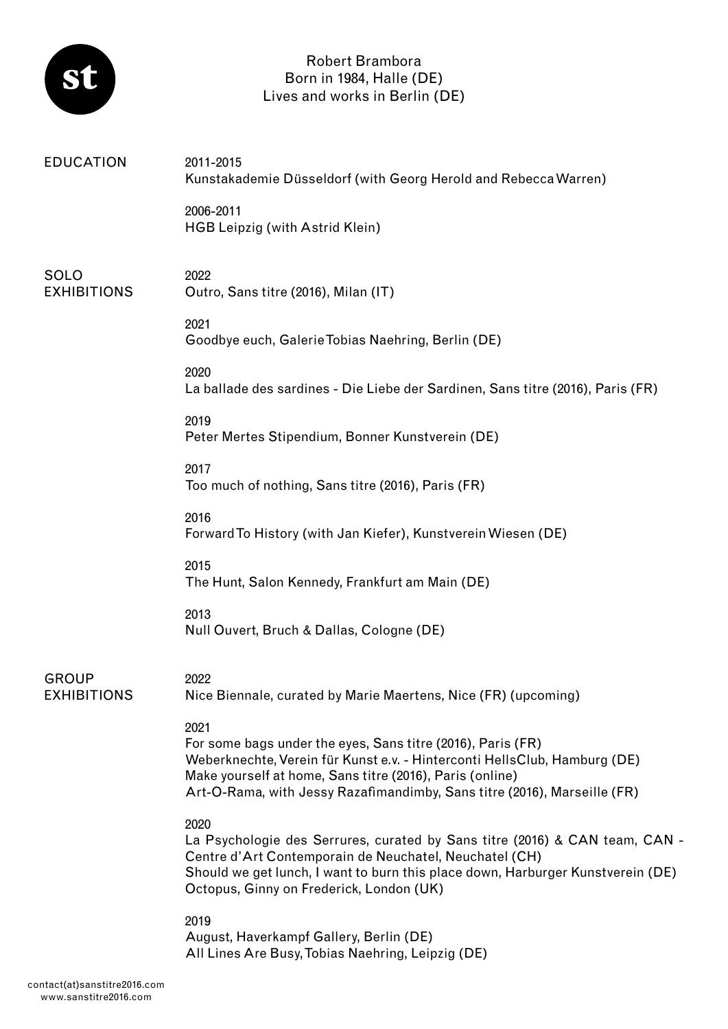

## Robert Brambora Born in 1984, Halle (DE) Lives and works in Berlin (DE)

| <b>EDUCATION</b>                   | 2011-2015<br>Kunstakademie Düsseldorf (with Georg Herold and Rebecca Warren)                                                                                                                                                                                                             |
|------------------------------------|------------------------------------------------------------------------------------------------------------------------------------------------------------------------------------------------------------------------------------------------------------------------------------------|
|                                    | 2006-2011<br>HGB Leipzig (with Astrid Klein)                                                                                                                                                                                                                                             |
| <b>SOLO</b><br><b>EXHIBITIONS</b>  | 2022<br>Outro, Sans titre (2016), Milan (IT)                                                                                                                                                                                                                                             |
|                                    | 2021<br>Goodbye euch, Galerie Tobias Naehring, Berlin (DE)                                                                                                                                                                                                                               |
|                                    | 2020<br>La ballade des sardines - Die Liebe der Sardinen, Sans titre (2016), Paris (FR)                                                                                                                                                                                                  |
|                                    | 2019<br>Peter Mertes Stipendium, Bonner Kunstverein (DE)                                                                                                                                                                                                                                 |
|                                    | 2017<br>Too much of nothing, Sans titre (2016), Paris (FR)                                                                                                                                                                                                                               |
|                                    | 2016<br>Forward To History (with Jan Kiefer), Kunstverein Wiesen (DE)                                                                                                                                                                                                                    |
|                                    | 2015<br>The Hunt, Salon Kennedy, Frankfurt am Main (DE)                                                                                                                                                                                                                                  |
|                                    | 2013<br>Null Ouvert, Bruch & Dallas, Cologne (DE)                                                                                                                                                                                                                                        |
| <b>GROUP</b><br><b>EXHIBITIONS</b> | 2022<br>Nice Biennale, curated by Marie Maertens, Nice (FR) (upcoming)                                                                                                                                                                                                                   |
|                                    | 2021<br>For some bags under the eyes, Sans titre (2016), Paris (FR)<br>Weberknechte, Verein für Kunst e.v. - Hinterconti HellsClub, Hamburg (DE)<br>Make yourself at home, Sans titre (2016), Paris (online)<br>Art-O-Rama, with Jessy Razafimandimby, Sans titre (2016), Marseille (FR) |
|                                    | 2020<br>La Psychologie des Serrures, curated by Sans titre (2016) & CAN team, CAN -<br>Centre d'Art Contemporain de Neuchatel, Neuchatel (CH)<br>Should we get lunch, I want to burn this place down, Harburger Kunstverein (DE)<br>Octopus, Ginny on Frederick, London (UK)             |
|                                    | 2019<br>August, Haverkampf Gallery, Berlin (DE)<br>All Lines Are Busy, Tobias Naehring, Leipzig (DE)                                                                                                                                                                                     |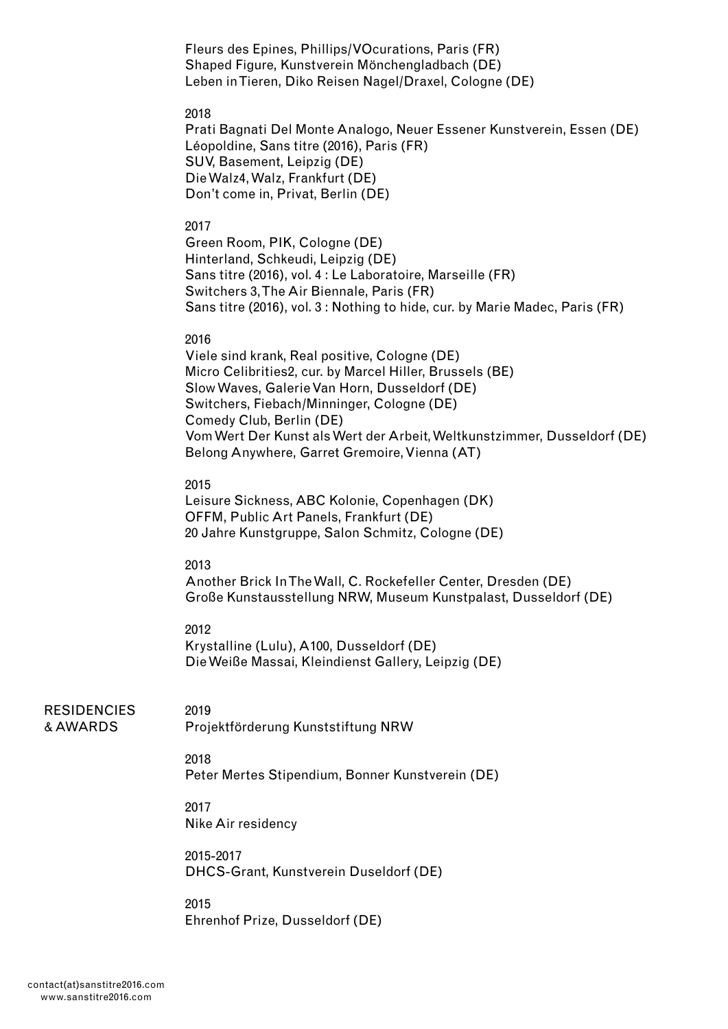Fleurs des Epines, Phillips/VOcurations, Paris (FR) Shaped Figure, Kunstverein Mönchengladbach (DE) Leben in Tieren, Diko Reisen Nagel/Draxel, Cologne (DE)

## 2018

Prati Bagnati Del Monte Analogo, Neuer Essener Kunstverein, Essen (DE) Léopoldine, Sans titre (2016), Paris (FR) SUV, Basement, Leipzig (DE) Die Walz4, Walz, Frankfurt (DE) Don't come in, Privat, Berlin (DE)

## 2017

Green Room, PIK, Cologne (DE) Hinterland, Schkeudi, Leipzig (DE) Sans titre (2016), vol. 4 : Le Laboratoire, Marseille (FR) Switchers 3, The Air Biennale, Paris (FR) Sans titre (2016), vol. 3 : Nothing to hide, cur. by Marie Madec, Paris (FR)

## 2016

Viele sind krank, Real positive, Cologne (DE) Micro Celibrities2, cur. by Marcel Hiller, Brussels (BE) Slow Waves, Galerie Van Horn, Dusseldorf (DE) Switchers, Fiebach/Minninger, Cologne (DE) Comedy Club, Berlin (DE) Vom Wert Der Kunst als Wert der Arbeit, Weltkunstzimmer, Dusseldorf (DE) Belong Anywhere, Garret Gremoire, Vienna (AT)

## 2015

Leisure Sickness, ABC Kolonie, Copenhagen (DK) OFFM, Public Art Panels, Frankfurt (DE) 20 Jahre Kunstgruppe, Salon Schmitz, Cologne (DE)

## 2013

Another Brick In The Wall, C. Rockefeller Center, Dresden (DE) Große Kunstausstellung NRW, Museum Kunstpalast, Dusseldorf (DE)

## 2012

2019

Krystalline (Lulu), A100, Dusseldorf (DE) Die Weiße Massai, Kleindienst Gallery, Leipzig (DE)

#### **RESIDENCIES** & AWARDS

Projektförderung Kunststiftung NRW

# 2018

Peter Mertes Stipendium, Bonner Kunstverein (DE)

## 2017 Nike Air residency

2015-2017 DHCS-Grant, Kunstverein Duseldorf (DE)

## 2015 Ehrenhof Prize, Dusseldorf (DE)